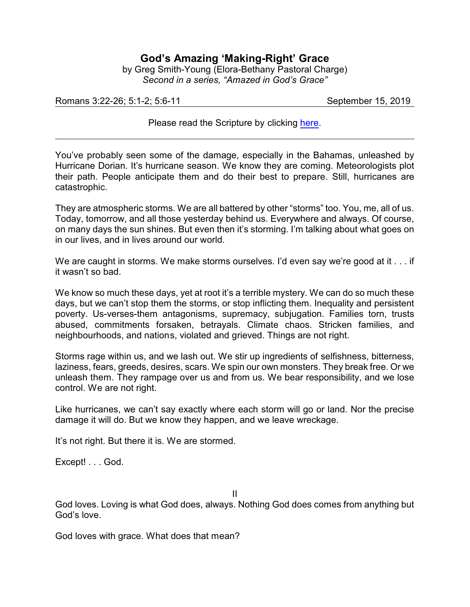## **God's Amazing 'Making-Right' Grace**

by Greg Smith-Young (Elora-Bethany Pastoral Charge) *Second in a series, "Amazed in God's Grace"*

Romans 3:22-26; 5:1-2; 5:6-11 September 15, 2019

Please read the Scripture by clicking [here](https://www.biblegateway.com/passage/?search=Romans+3%3A22-26%3B+5%3A1-2%3B+5%3A6-11&version=CEB).

You've probably seen some of the damage, especially in the Bahamas, unleashed by Hurricane Dorian. It's hurricane season. We know they are coming. Meteorologists plot their path. People anticipate them and do their best to prepare. Still, hurricanes are catastrophic.

They are atmospheric storms. We are all battered by other "storms" too. You, me, all of us. Today, tomorrow, and all those yesterday behind us. Everywhere and always. Of course, on many days the sun shines. But even then it's storming. I'm talking about what goes on in our lives, and in lives around our world.

We are caught in storms. We make storms ourselves. I'd even say we're good at it . . . if it wasn't so bad.

We know so much these days, yet at root it's a terrible mystery. We can do so much these days, but we can't stop them the storms, or stop inflicting them. Inequality and persistent poverty. Us-verses-them antagonisms, supremacy, subjugation. Families torn, trusts abused, commitments forsaken, betrayals. Climate chaos. Stricken families, and neighbourhoods, and nations, violated and grieved. Things are not right.

Storms rage within us, and we lash out. We stir up ingredients of selfishness, bitterness, laziness, fears, greeds, desires, scars. We spin our own monsters. They break free. Or we unleash them. They rampage over us and from us. We bear responsibility, and we lose control. We are not right.

Like hurricanes, we can't say exactly where each storm will go or land. Nor the precise damage it will do. But we know they happen, and we leave wreckage.

It's not right. But there it is. We are stormed.

Except! . . . God.

II

God loves. Loving is what God does, always. Nothing God does comes from anything but God's love.

God loves with grace. What does that mean?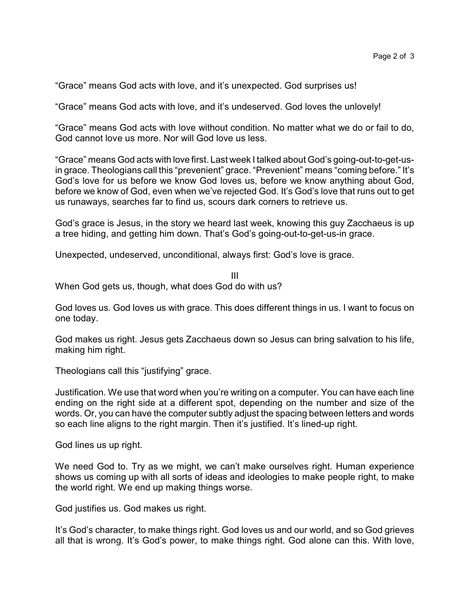"Grace" means God acts with love, and it's unexpected. God surprises us!

"Grace" means God acts with love, and it's undeserved. God loves the unlovely!

"Grace" means God acts with love without condition. No matter what we do or fail to do, God cannot love us more. Nor will God love us less.

"Grace" means God acts with love first. Last week I talked about God's going-out-to-get-usin grace. Theologians call this "prevenient" grace. "Prevenient" means "coming before." It's God's love for us before we know God loves us, before we know anything about God, before we know of God, even when we've rejected God. It's God's love that runs out to get us runaways, searches far to find us, scours dark corners to retrieve us.

God's grace is Jesus, in the story we heard last week, knowing this guy Zacchaeus is up a tree hiding, and getting him down. That's God's going-out-to-get-us-in grace.

Unexpected, undeserved, unconditional, always first: God's love is grace.

III When God gets us, though, what does God do with us?

God loves us. God loves us with grace. This does different things in us. I want to focus on one today.

God makes us right. Jesus gets Zacchaeus down so Jesus can bring salvation to his life, making him right.

Theologians call this "justifying" grace.

Justification. We use that word when you're writing on a computer. You can have each line ending on the right side at a different spot, depending on the number and size of the words. Or, you can have the computer subtly adjust the spacing between letters and words so each line aligns to the right margin. Then it's justified. It's lined-up right.

God lines us up right.

We need God to. Try as we might, we can't make ourselves right. Human experience shows us coming up with all sorts of ideas and ideologies to make people right, to make the world right. We end up making things worse.

God justifies us. God makes us right.

It's God's character, to make things right. God loves us and our world, and so God grieves all that is wrong. It's God's power, to make things right. God alone can this. With love,